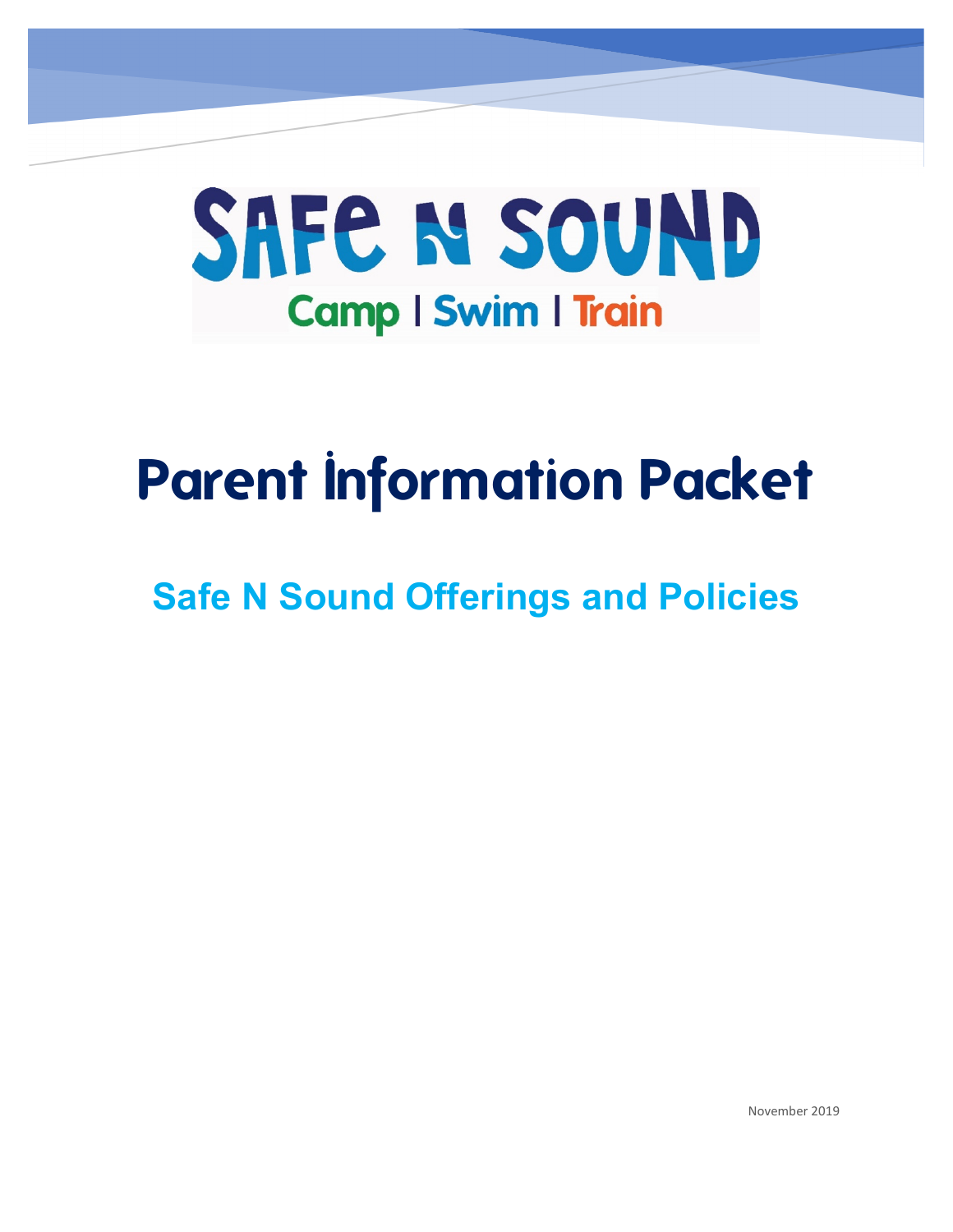

# **Parent Information Packet**

## **Safe N Sound Offerings and Policies**

November 2019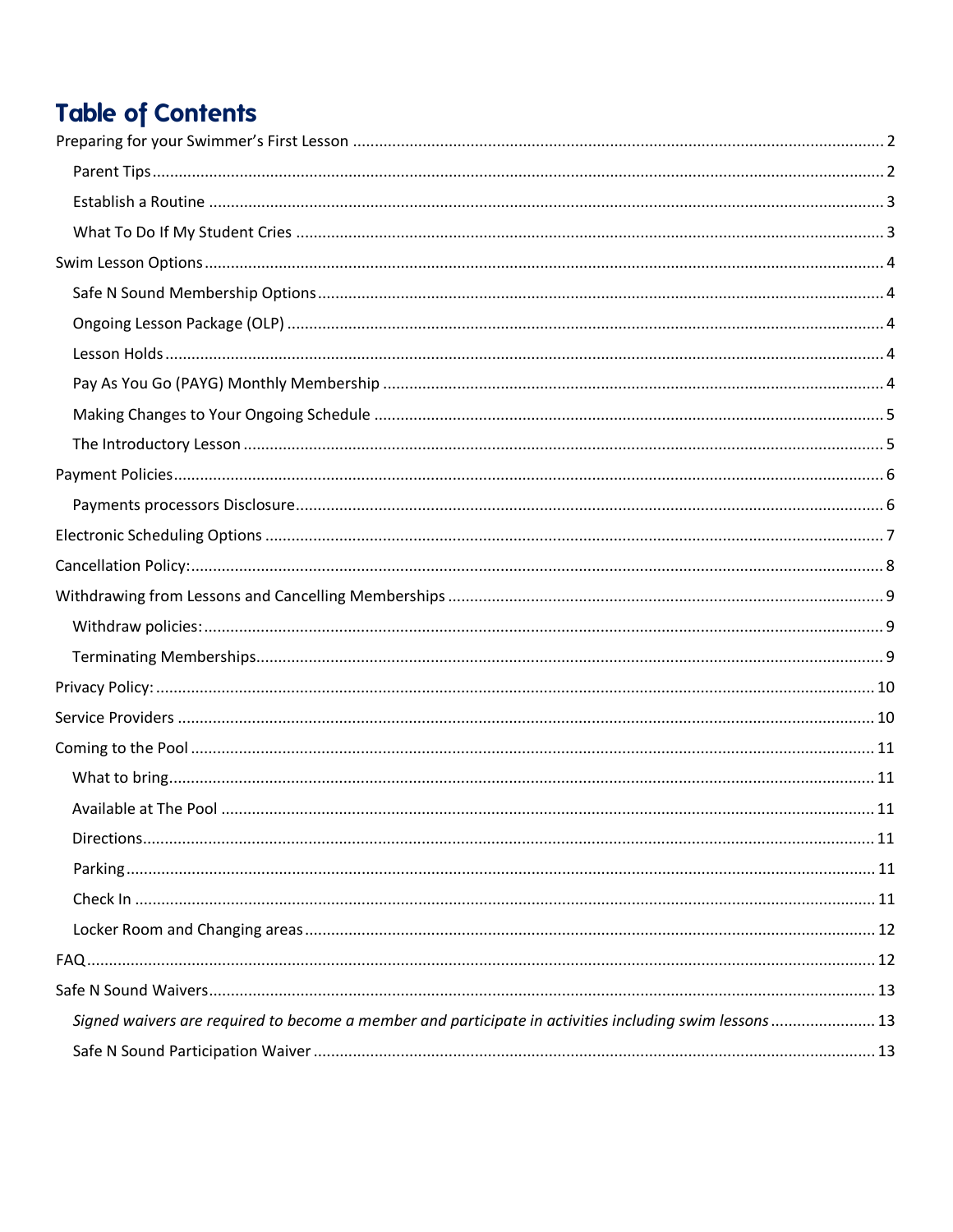## **Table of Contents**

| Signed waivers are required to become a member and participate in activities including swim lessons  13 |  |
|---------------------------------------------------------------------------------------------------------|--|
|                                                                                                         |  |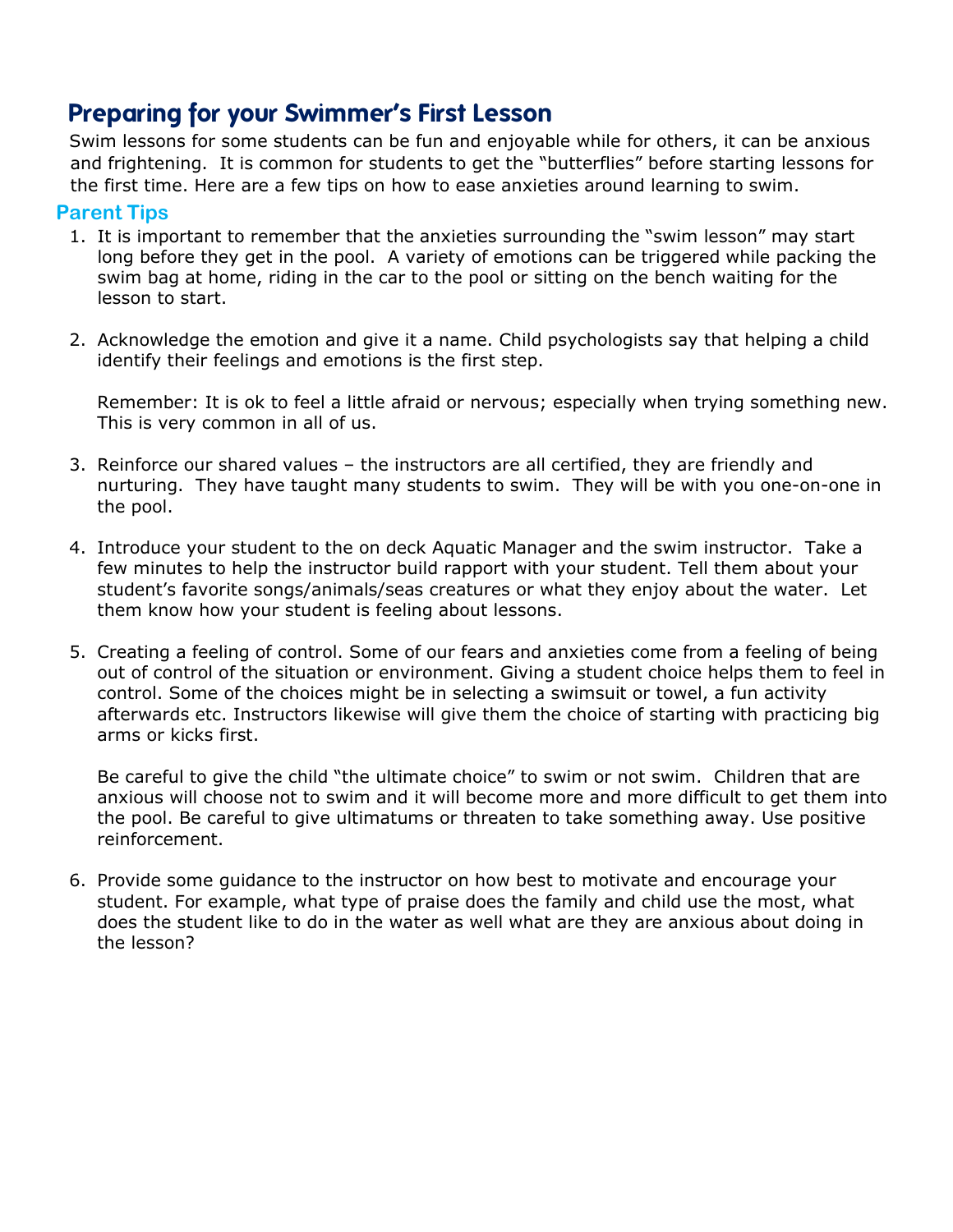## <span id="page-2-0"></span>**Preparing for your Swimmer's First Lesson**

Swim lessons for some students can be fun and enjoyable while for others, it can be anxious and frightening. It is common for students to get the "butterflies" before starting lessons for the first time. Here are a few tips on how to ease anxieties around learning to swim.

#### <span id="page-2-1"></span>**Parent Tips**

- 1. It is important to remember that the anxieties surrounding the "swim lesson" may start long before they get in the pool. A variety of emotions can be triggered while packing the swim bag at home, riding in the car to the pool or sitting on the bench waiting for the lesson to start.
- 2. Acknowledge the emotion and give it a name. Child psychologists say that helping a child identify their feelings and emotions is the first step.

Remember: It is ok to feel a little afraid or nervous; especially when trying something new. This is very common in all of us.

- 3. Reinforce our shared values the instructors are all certified, they are friendly and nurturing. They have taught many students to swim. They will be with you one-on-one in the pool.
- 4. Introduce your student to the on deck Aquatic Manager and the swim instructor. Take a few minutes to help the instructor build rapport with your student. Tell them about your student's favorite songs/animals/seas creatures or what they enjoy about the water. Let them know how your student is feeling about lessons.
- 5. Creating a feeling of control. Some of our fears and anxieties come from a feeling of being out of control of the situation or environment. Giving a student choice helps them to feel in control. Some of the choices might be in selecting a swimsuit or towel, a fun activity afterwards etc. Instructors likewise will give them the choice of starting with practicing big arms or kicks first.

Be careful to give the child "the ultimate choice" to swim or not swim. Children that are anxious will choose not to swim and it will become more and more difficult to get them into the pool. Be careful to give ultimatums or threaten to take something away. Use positive reinforcement.

6. Provide some guidance to the instructor on how best to motivate and encourage your student. For example, what type of praise does the family and child use the most, what does the student like to do in the water as well what are they are anxious about doing in the lesson?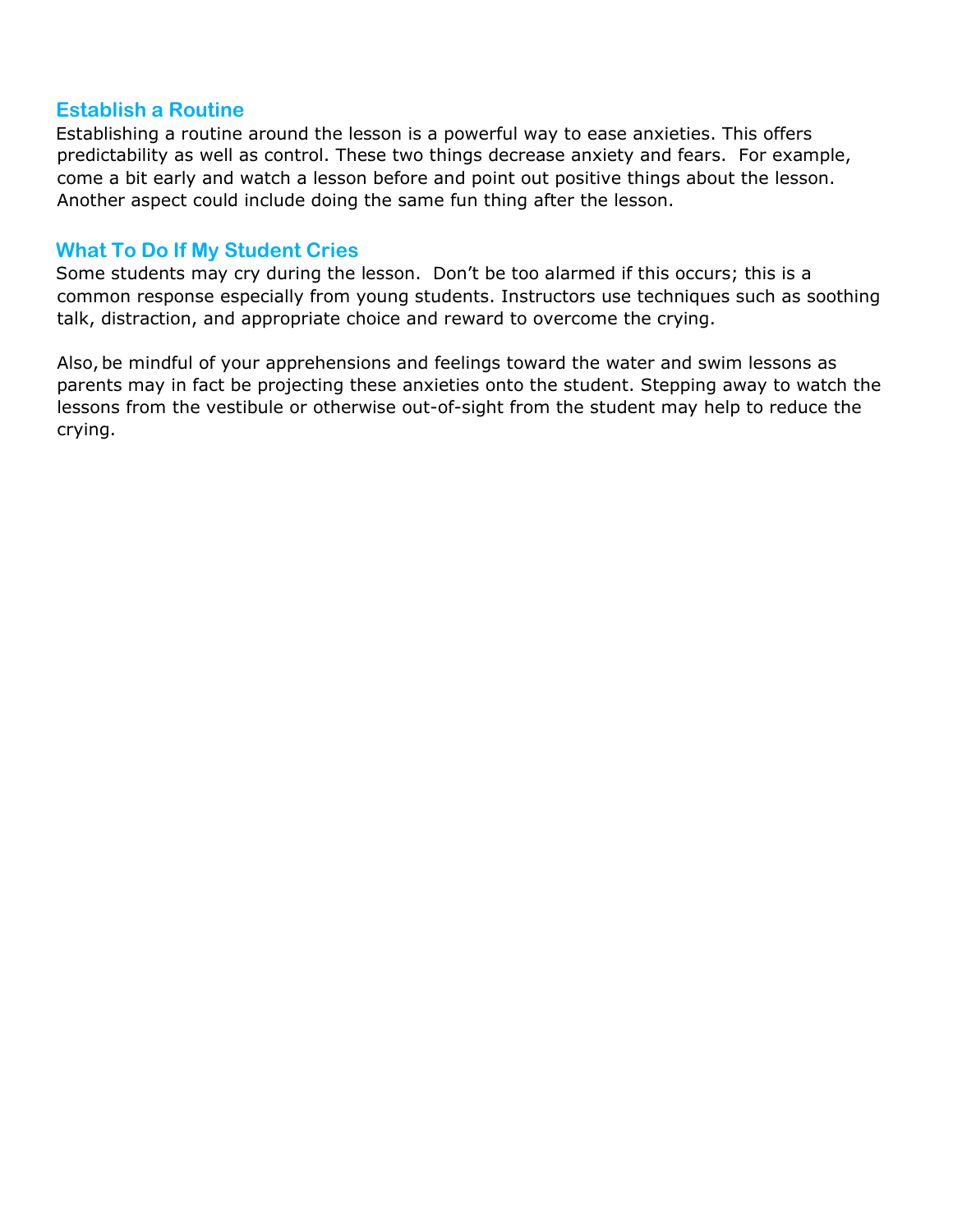#### <span id="page-3-0"></span>**Establish a Routine**

Establishing a routine around the lesson is a powerful way to ease anxieties. This offers predictability as well as control. These two things decrease anxiety and fears. For example, come a bit early and watch a lesson before and point out positive things about the lesson. Another aspect could include doing the same fun thing after the lesson.

#### <span id="page-3-1"></span>**What To Do If My Student Cries**

Some students may cry during the lesson. Don't be too alarmed if this occurs; this is a common response especially from young students. Instructors use techniques such as soothing talk, distraction, and appropriate choice and reward to overcome the crying.

Also, be mindful of your apprehensions and feelings toward the water and swim lessons as parents may in fact be projecting these anxieties onto the student. Stepping away to watch the lessons from the vestibule or otherwise out-of-sight from the student may help to reduce the crying.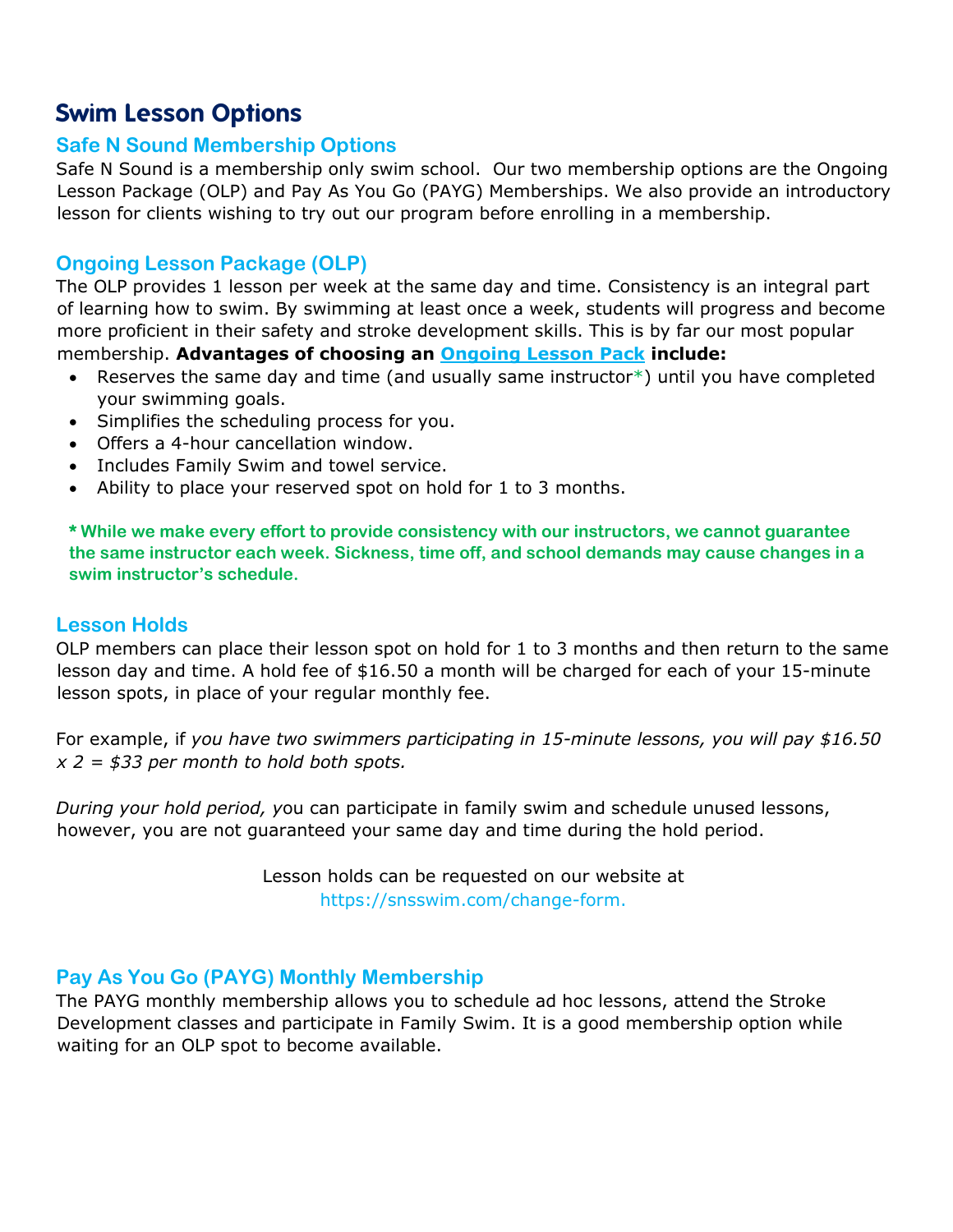## <span id="page-4-0"></span>**Swim Lesson Options**

#### <span id="page-4-1"></span>**Safe N Sound Membership Options**

Safe N Sound is a membership only swim school. Our two membership options are the Ongoing Lesson Package (OLP) and Pay As You Go (PAYG) Memberships. We also provide an introductory lesson for clients wishing to try out our program before enrolling in a membership.

#### <span id="page-4-2"></span>**Ongoing Lesson Package (OLP)**

The OLP provides 1 lesson per week at the same day and time. Consistency is an integral part of learning how to swim. By swimming at least once a week, students will progress and become more proficient in their safety and stroke development skills. This is by far our most popular membership. **Advantages of choosing an Ongoing Lesson Pack include:**

- Reserves the same day and time (and usually same instructor\*) until you have completed your swimming goals.
- Simplifies the scheduling process for you.
- Offers a 4-hour cancellation window.
- Includes Family Swim and towel service.
- Ability to place your reserved spot on hold for 1 to 3 months.

**\* While we make every effort to provide consistency with our instructors, we cannot guarantee the same instructor each week. Sickness, time off, and school demands may cause changes in a swim instructor's schedule.**

#### <span id="page-4-3"></span>**Lesson Holds**

OLP members can place their lesson spot on hold for 1 to 3 months and then return to the same lesson day and time. A hold fee of \$16.50 a month will be charged for each of your 15-minute lesson spots, in place of your regular monthly fee.

For example, if *you have two swimmers participating in 15-minute lessons, you will pay \$16.50 x 2 = \$33 per month to hold both spots.* 

*During your hold period, y*ou can participate in family swim and schedule unused lessons, however, you are not guaranteed your same day and time during the hold period.

> Lesson holds can be requested on our website at https://snsswim.com/change-form.

#### <span id="page-4-4"></span>**Pay As You Go (PAYG) Monthly Membership**

The PAYG monthly membership allows you to schedule ad hoc lessons, attend the Stroke Development classes and participate in Family Swim. It is a good membership option while waiting for an OLP spot to become available.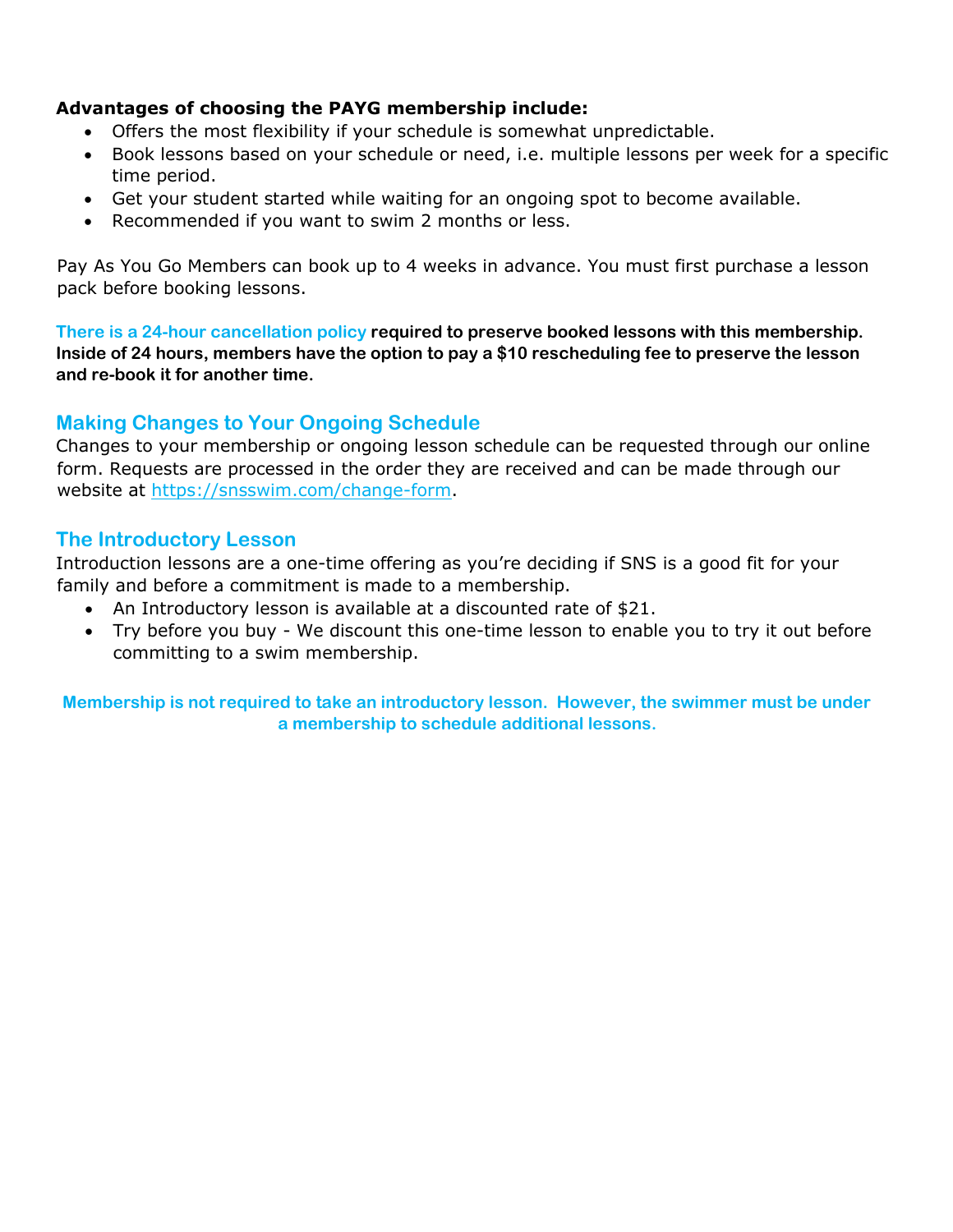#### **Advantages of choosing the PAYG membership include:**

- Offers the most flexibility if your schedule is somewhat unpredictable.
- Book lessons based on your schedule or need, i.e. multiple lessons per week for a specific time period.
- Get your student started while waiting for an ongoing spot to become available.
- Recommended if you want to swim 2 months or less.

Pay As You Go Members can book up to 4 weeks in advance. You must first purchase a lesson pack before booking lessons.

**There is a 24-hour cancellation policy required to preserve booked lessons with this membership. Inside of 24 hours, members have the option to pay a \$10 rescheduling fee to preserve the lesson and re-book it for another time.**

#### <span id="page-5-0"></span>**Making Changes to Your Ongoing Schedule**

Changes to your membership or ongoing lesson schedule can be requested through our online form. Requests are processed in the order they are received and can be made through our website at https://snsswim.com/change-form.

#### <span id="page-5-1"></span>**The Introductory Lesson**

Introduction lessons are a one-time offering as you're deciding if SNS is a good fit for your family and before a commitment is made to a membership.

- An Introductory lesson is available at a discounted rate of \$21.
- Try before you buy We discount this one-time lesson to enable you to try it out before committing to a swim membership.

**Membership is not required to take an introductory lesson. However, the swimmer must be under a membership to schedule additional lessons.**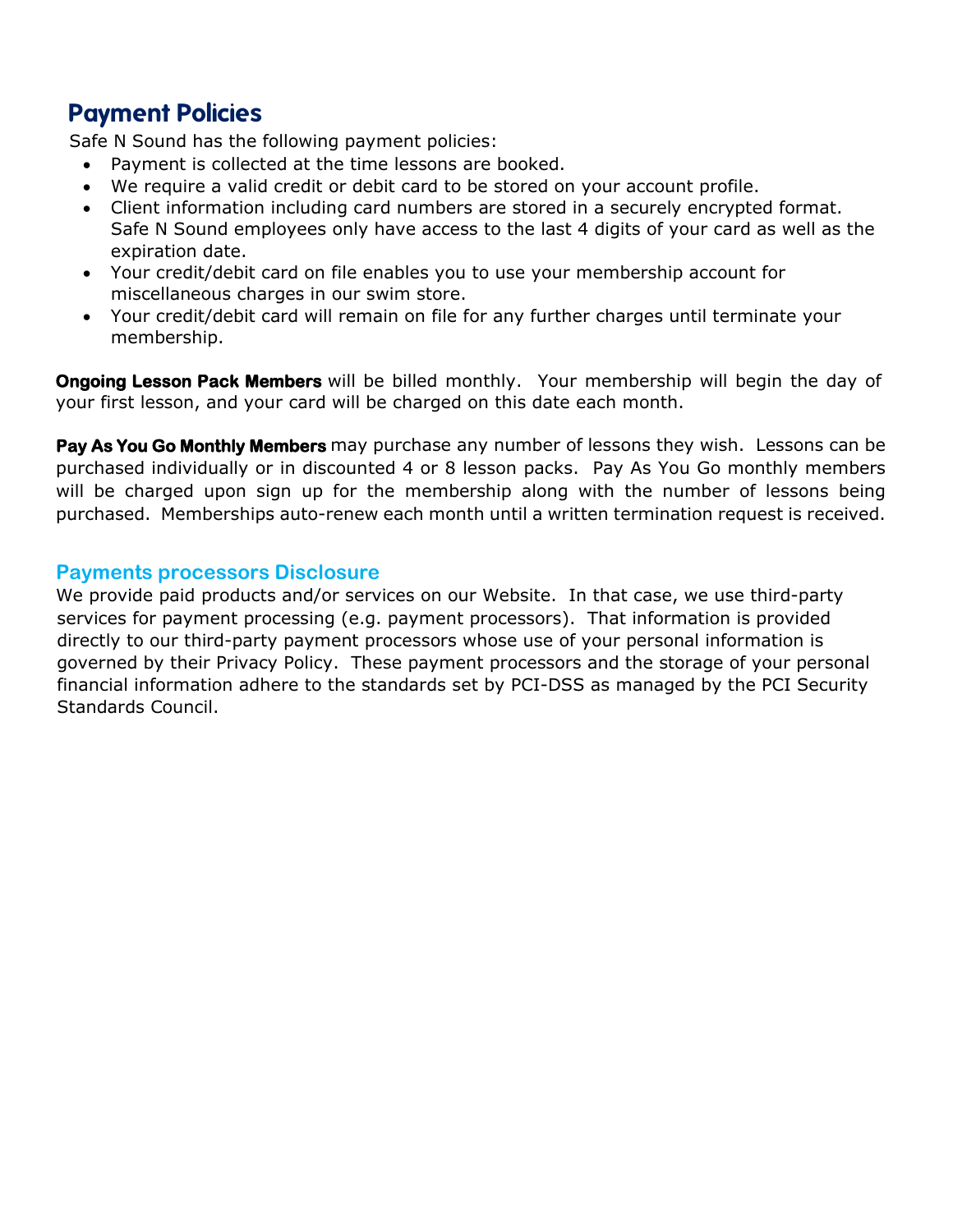## <span id="page-6-0"></span>**Payment Policies**

Safe N Sound has the following payment policies:

- Payment is collected at the time lessons are booked.
- We require a valid credit or debit card to be stored on your account profile.
- Client information including card numbers are stored in a securely encrypted format. Safe N Sound employees only have access to the last 4 digits of your card as well as the expiration date.
- Your credit/debit card on file enables you to use your membership account for miscellaneous charges in our swim store.
- Your credit/debit card will remain on file for any further charges until terminate your membership.

**Ongoing Lesson Pack Members** will be billed monthly. Your membership will begin the day of your first lesson, and your card will be charged on this date each month.

**Pay As You Go Monthly Members** may purchase any number of lessons they wish. Lessons can be purchased individually or in discounted 4 or 8 lesson packs. Pay As You Go monthly members will be charged upon sign up for the membership along with the number of lessons being purchased. Memberships auto-renew each month until a written termination request is received.

#### <span id="page-6-1"></span>**Payments processors Disclosure**

We provide paid products and/or services on our Website. In that case, we use third-party services for payment processing (e.g. payment processors). That information is provided directly to our third-party payment processors whose use of your personal information is governed by their Privacy Policy. These payment processors and the storage of your personal financial information adhere to the standards set by PCI-DSS as managed by the PCI Security Standards Council.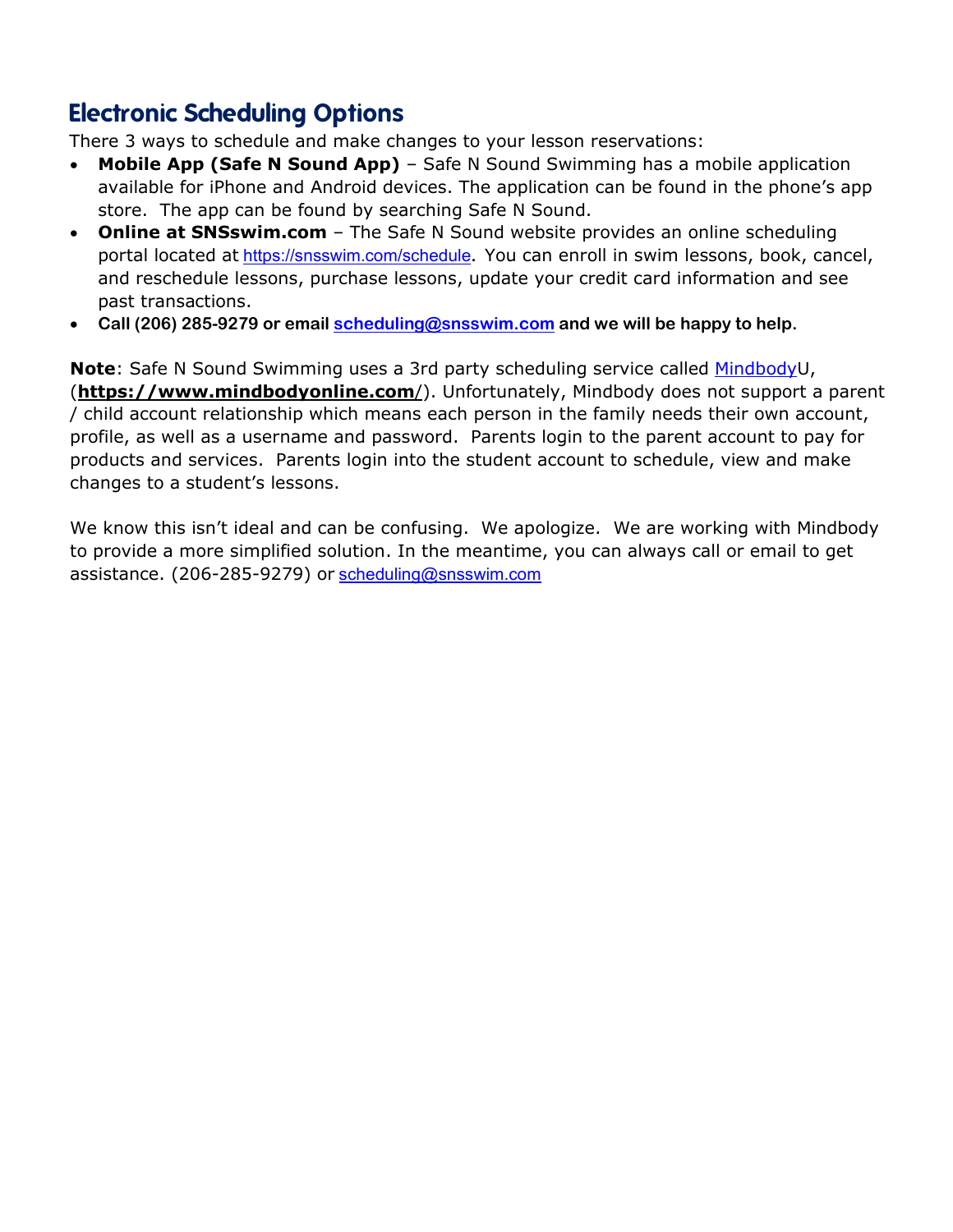## <span id="page-7-0"></span>**Electronic Scheduling Options**

There 3 ways to schedule and make changes to your lesson reservations:

- **Mobile App (Safe N Sound App)** Safe N Sound Swimming has a mobile application available for iPhone and Android devices. The application can be found in the phone's app store. The app can be found by searching Safe N Sound.
- **Online at SNSswim.com** The Safe N Sound website provides an online scheduling portal located at <https://snsswim.com/schedule>**.** You can enroll in swim lessons, book, cancel, and reschedule lessons, purchase lessons, update your credit card information and see past transactions.
- **Call (206) 285-9279 or email [scheduling@snsswim.com](mailto:scheduling@snsswim.com) and we will be happy to help.**

**Note**: Safe N Sound Swimming uses a 3rd party scheduling service called [MindbodyU](https://www.mindbodyonline.com/), (**[https://www.mindbodyonline.com](https://www.mindbodyonline.com/)**/). Unfortunately, Mindbody does not support a parent / child account relationship which means each person in the family needs their own account, profile, as well as a username and password. Parents login to the parent account to pay for products and services. Parents login into the student account to [schedule, view and make](https://snsswim.com/schedule)  [changes](https://snsswim.com/schedule) to a student's lessons.

We know this isn't ideal and can be confusing. We apologize. We are working with Mindbody to provide a more simplified solution. In the meantime, you can always call or email to get assistance. (206-285-9279) or [scheduling@snsswim.com](mailto:scheduling@snsswim.com)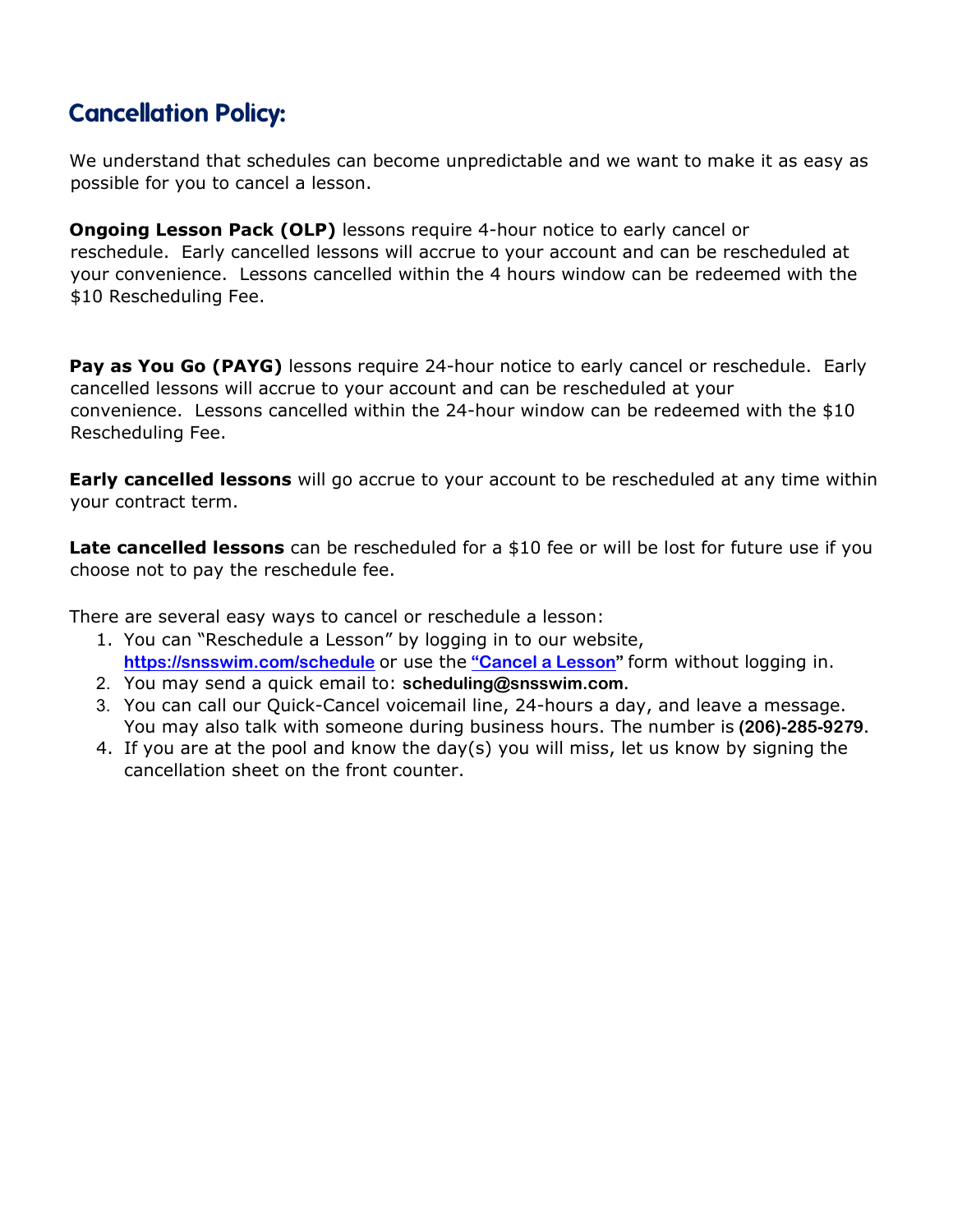## <span id="page-8-0"></span>**Cancellation Policy:**

We understand that schedules can become unpredictable and we want to make it as easy as possible for you to cancel a lesson.

**Ongoing Lesson Pack (OLP)** lessons require 4-hour notice to early cancel or reschedule. Early cancelled lessons will accrue to your account and can be rescheduled at your convenience. Lessons cancelled within the 4 hours window can be redeemed with the \$10 Rescheduling Fee.

Pay as You Go (PAYG) lessons require 24-hour notice to early cancel or reschedule. Early cancelled lessons will accrue to your account and can be rescheduled at your convenience. Lessons cancelled within the 24-hour window can be redeemed with the \$10 Rescheduling Fee.

**Early cancelled lessons** will go accrue to your account to be rescheduled at any time within your contract term.

Late cancelled lessons can be rescheduled for a \$10 fee or will be lost for future use if you choose not to pay the reschedule fee.

There are several easy ways to cancel or reschedule a lesson:

- 1. You can "Reschedule a Lesson" by logging in to our website, **<https://snsswim.com/schedule>** [o](http://www.snsswim.com/)r use the **["Cancel a Lesson"](https://snsswim.com/change-form)** form without logging in.
- 2. You may send a quick email to: **scheduling@snsswim.com.**
- 3. You can call our Quick-Cancel voicemail line, 24-hours a day, and leave a message. You may also talk with someone during business hours. The number is **(206)-285-9279.**
- 4. If you are at the pool and know the day(s) you will miss, let us know by signing the cancellation sheet on the front counter.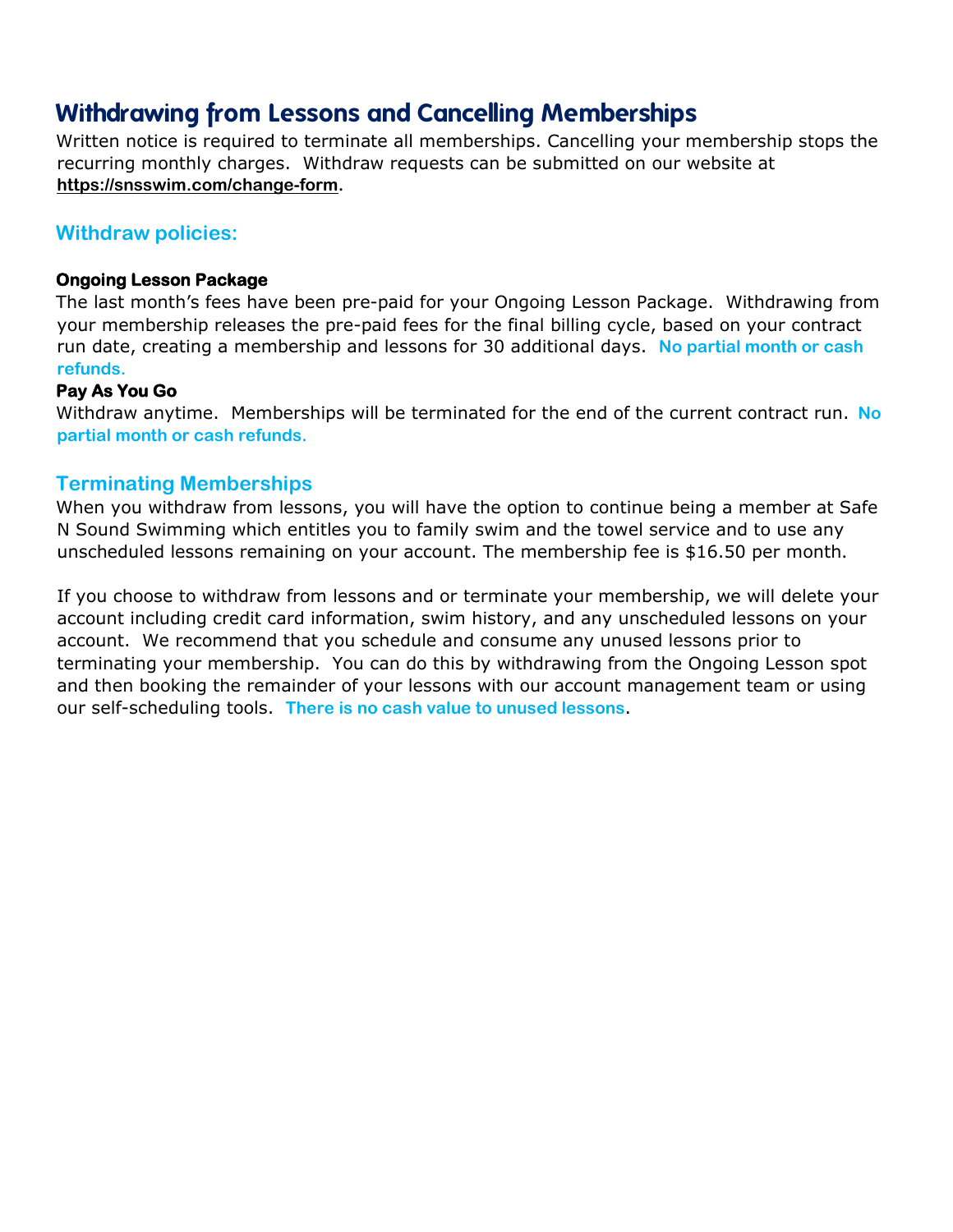## <span id="page-9-0"></span>**Withdrawing from Lessons and Cancelling Memberships**

Written notice is required to terminate all memberships. Cancelling your membership stops the recurring monthly charges. Withdraw requests can be submitted on our website at **https://snsswim.com/change-form.** 

#### <span id="page-9-1"></span>**Withdraw policies:**

#### **Ongoing Lesson Package**

The last month's fees have been pre-paid for your Ongoing Lesson Package. Withdrawing from your membership releases the pre-paid fees for the final billing cycle, based on your contract run date, creating a membership and lessons for 30 additional days. **No partial month or cash refunds.**

#### **Pay As You Go**

Withdraw anytime. Memberships will be terminated for the end of the current contract run. **No partial month or cash refunds.** 

#### <span id="page-9-2"></span>**Terminating Memberships**

When you withdraw from lessons, you will have the option to continue being a member at Safe N Sound Swimming which entitles you to family swim and the towel service and to use any unscheduled lessons remaining on your account. The membership fee is \$16.50 per month**.**

If you choose to withdraw from lessons and or terminate your membership, we will delete your account including credit card information, swim history, and any unscheduled lessons on your account. We recommend that you schedule and consume any unused lessons prior to terminating your membership. You can do this by withdrawing from the Ongoing Lesson spot and then booking the remainder of your lessons with our account management team or using our self-scheduling tools. **There is no cash value to unused lessons**.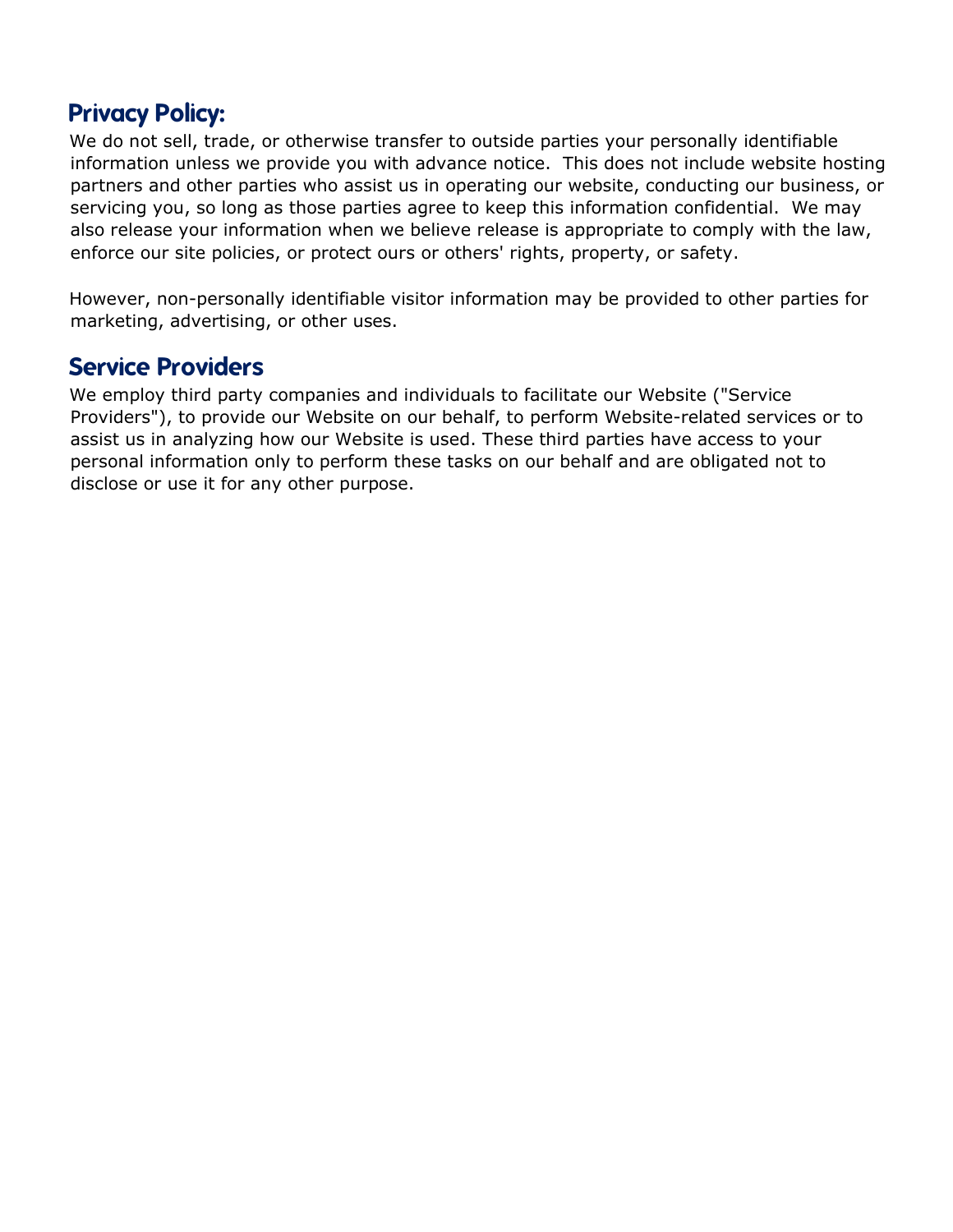## <span id="page-10-0"></span>**Privacy Policy:**

We do not sell, trade, or otherwise transfer to outside parties your personally identifiable information unless we provide you with advance notice. This does not include website hosting partners and other parties who assist us in operating our website, conducting our business, or servicing you, so long as those parties agree to keep this information confidential. We may also release your information when we believe release is appropriate to comply with the law, enforce our site policies, or protect ours or others' rights, property, or safety.

However, non-personally identifiable visitor information may be provided to other parties for marketing, advertising, or other uses.

### <span id="page-10-1"></span>**Service Providers**

We employ third party companies and individuals to facilitate our Website ("Service Providers"), to provide our Website on our behalf, to perform Website-related services or to assist us in analyzing how our Website is used. These third parties have access to your personal information only to perform these tasks on our behalf and are obligated not to disclose or use it for any other purpose.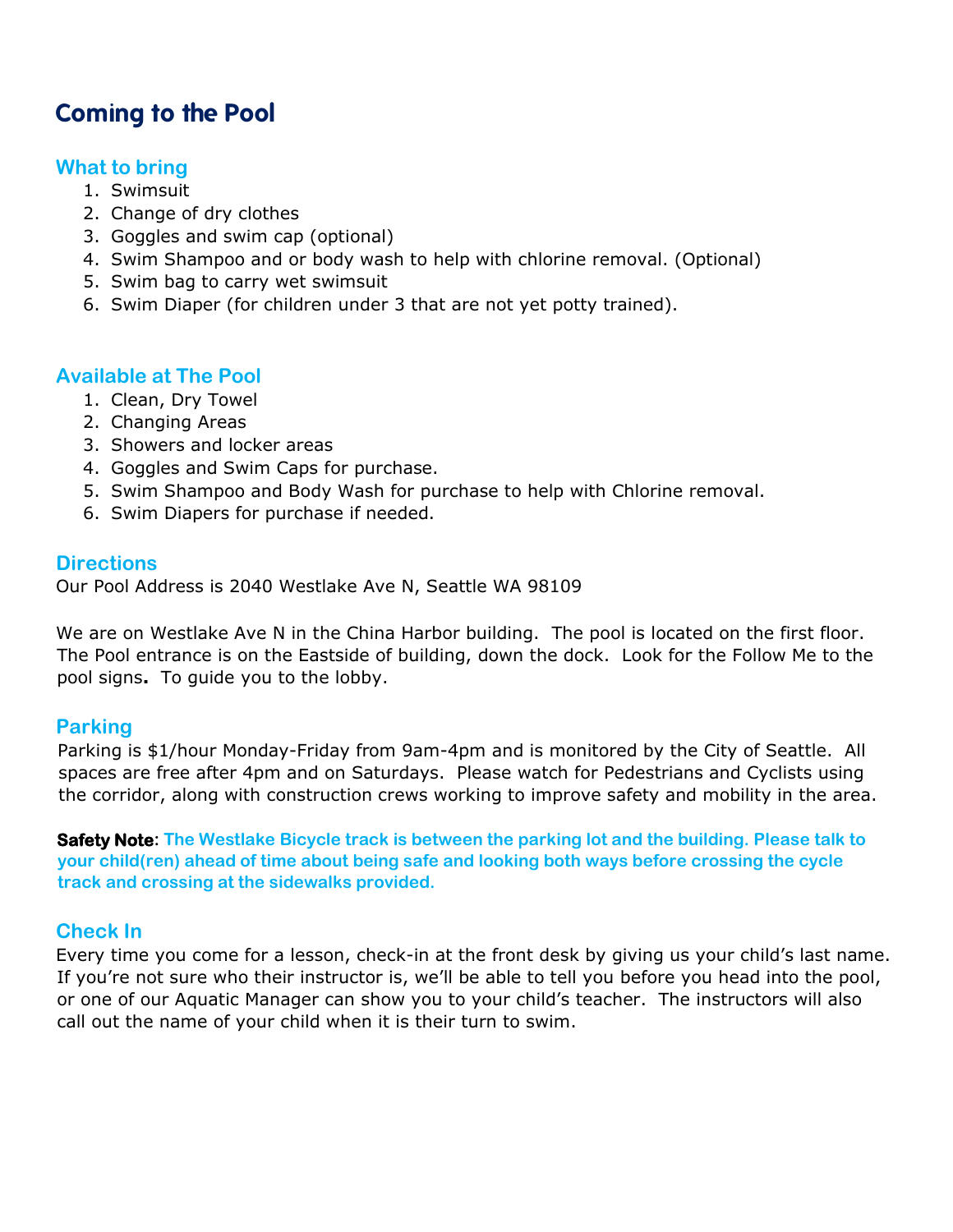## <span id="page-11-0"></span>**Coming to the Pool**

#### <span id="page-11-1"></span>**What to bring**

- 1. Swimsuit
- 2. Change of dry clothes
- 3. Goggles and swim cap (optional)
- 4. Swim Shampoo and or body wash to help with chlorine removal. (Optional)
- 5. Swim bag to carry wet swimsuit
- 6. Swim Diaper (for children under 3 that are not yet potty trained).

#### <span id="page-11-2"></span>**Available at The Pool**

- 1. Clean, Dry Towel
- 2. Changing Areas
- 3. Showers and locker areas
- 4. Goggles and Swim Caps for purchase.
- 5. Swim Shampoo and Body Wash for purchase to help with Chlorine removal.
- 6. Swim Diapers for purchase if needed.

#### <span id="page-11-3"></span>**Directions**

Our Pool Address is 2040 Westlake Ave N, Seattle WA 98109

We are on Westlake Ave N in the China Harbor building. The pool is located on the first floor. The Pool entrance is on the Eastside of building, down the dock. Look for the Follow Me to the pool signs**.** To guide you to the lobby.

#### <span id="page-11-4"></span>**Parking**

Parking is \$1/hour Monday-Friday from 9am-4pm and is monitored by the City of Seattle. All spaces are free after 4pm and on Saturdays. Please watch for Pedestrians and Cyclists using the corridor, along with construction crews working to improve safety and mobility in the area.

**Safety Note: The Westlake Bicycle track is between the parking lot and the building. Please talk to your child(ren) ahead of time about being safe and looking both ways before crossing the cycle track and crossing at the sidewalks provided.**

#### <span id="page-11-5"></span>**Check In**

Every time you come for a lesson, check-in at the front desk by giving us your child's last name. If you're not sure who their instructor is, we'll be able to tell you before you head into the pool, or one of our Aquatic Manager can show you to your child's teacher. The instructors will also call out the name of your child when it is their turn to swim.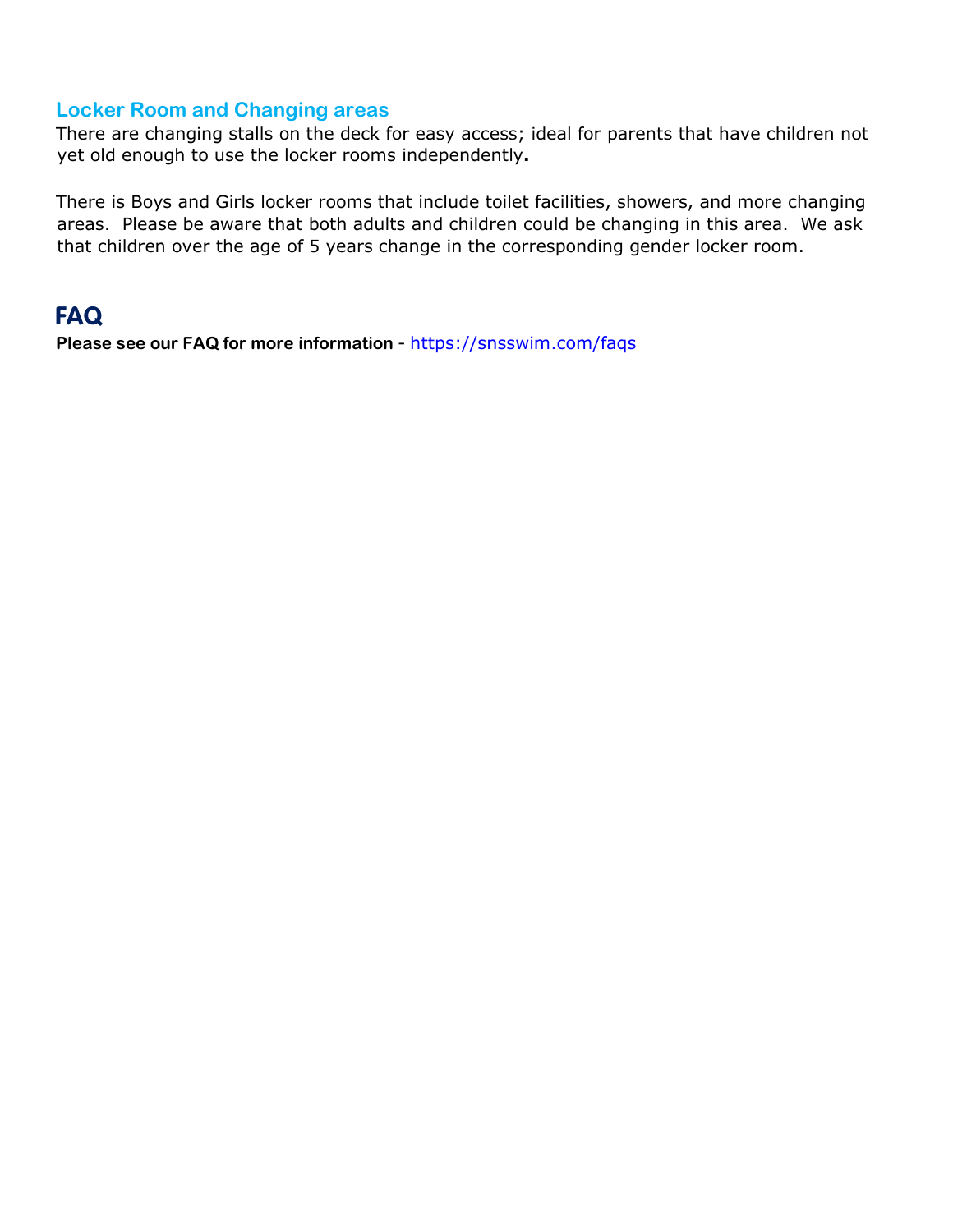#### <span id="page-12-0"></span>**Locker Room and Changing areas**

There are changing stalls on the deck for easy access; ideal for parents that have children not yet old enough to use the locker rooms independently**.** 

There is Boys and Girls locker rooms that include toilet facilities, showers, and more changing areas. Please be aware that both adults and children could be changing in this area. We ask that children over the age of 5 years change in the corresponding gender locker room.

## <span id="page-12-1"></span>**FAQ**

Please see our FAQ for more information - <https://snsswim.com/faqs>